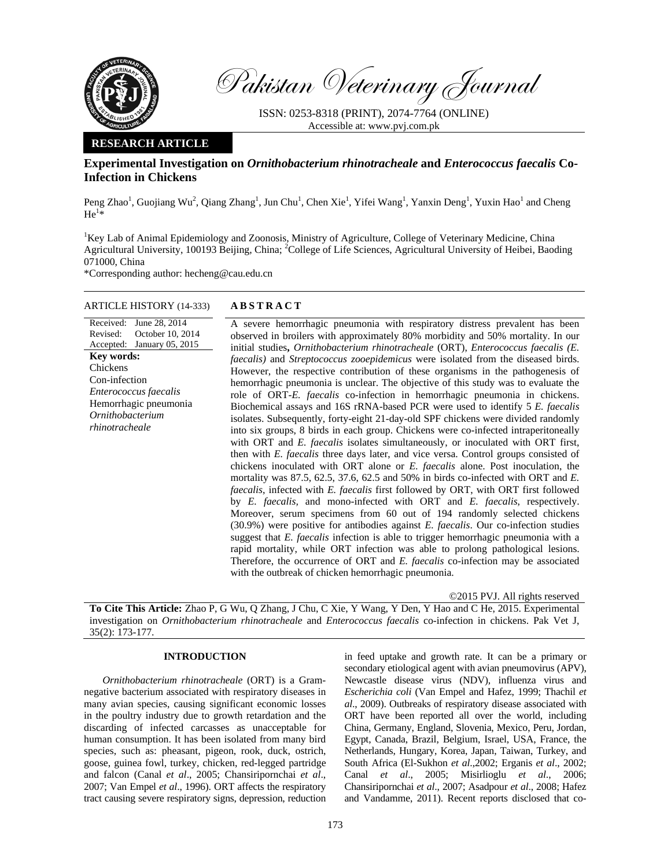

Pakistan Veterinary Journal

ISSN: 0253-8318 (PRINT), 2074-7764 (ONLINE) Accessible at: www.pvj.com.pk

# **RESEARCH ARTICLE**

# **Experimental Investigation on** *Ornithobacterium rhinotracheale* **and** *Enterococcus faecalis* **Co-Infection in Chickens**

Peng Zhao<sup>1</sup>, Guojiang Wu<sup>2</sup>, Qiang Zhang<sup>1</sup>, Jun Chu<sup>1</sup>, Chen Xie<sup>1</sup>, Yifei Wang<sup>1</sup>, Yanxin Deng<sup>1</sup>, Yuxin Hao<sup>1</sup> and Cheng  $He^{1\bar{*}}$ 

<sup>1</sup>Key Lab of Animal Epidemiology and Zoonosis, Ministry of Agriculture, College of Veterinary Medicine, China Agricultural University, 100193 Beijing, China; <sup>2</sup>College of Life Sciences, Agricultural University of Heibei, Baoding 071000, China

\*Corresponding author: hecheng@cau.edu.cn

# ARTICLE HISTORY (14-333) **ABSTRACT**

#### Received: Revised: Accepted: June 28, 2014 October 10, 2014 January 05, 2015 **Key words:**  Chickens Con-infection *Enterococcus faecalis*  Hemorrhagic pneumonia *Ornithobacterium rhinotracheale*

 A severe hemorrhagic pneumonia with respiratory distress prevalent has been observed in broilers with approximately 80% morbidity and 50% mortality. In our initial studies**,** *Ornithobacterium rhinotracheale* (ORT), *Enterococcus faecalis (E. faecalis)* and *Streptococcus zooepidemicus* were isolated from the diseased birds. However, the respective contribution of these organisms in the pathogenesis of hemorrhagic pneumonia is unclear. The objective of this study was to evaluate the role of ORT-*E. faecalis* co-infection in hemorrhagic pneumonia in chickens. Biochemical assays and 16S rRNA-based PCR were used to identify 5 *E. faecalis* isolates. Subsequently, forty-eight 21-day-old SPF chickens were divided randomly into six groups, 8 birds in each group. Chickens were co-infected intraperitoneally with ORT and *E. faecalis* isolates simultaneously, or inoculated with ORT first, then with *E. faecalis* three days later, and vice versa. Control groups consisted of chickens inoculated with ORT alone or *E. faecalis* alone. Post inoculation, the mortality was 87.5, 62.5, 37.6, 62.5 and 50% in birds co-infected with ORT and *E. faecalis*, infected with *E. faecalis* first followed by ORT, with ORT first followed by *E. faecalis,* and mono-infected with ORT and *E. faecalis*, respectively. Moreover, serum specimens from 60 out of 194 randomly selected chickens (30.9%) were positive for antibodies against *E. faecalis*. Our co-infection studies suggest that *E. faecalis* infection is able to trigger hemorrhagic pneumonia with a rapid mortality, while ORT infection was able to prolong pathological lesions. Therefore, the occurrence of ORT and *E. faecalis* co-infection may be associated with the outbreak of chicken hemorrhagic pneumonia.

©2015 PVJ. All rights reserved

**To Cite This Article:** Zhao P, G Wu, Q Zhang, J Chu, C Xie, Y Wang, Y Den, Y Hao and C He, 2015. Experimental investigation on *Ornithobacterium rhinotracheale* and *Enterococcus faecalis* co-infection in chickens. Pak Vet J, 35(2): 173-177.

### **INTRODUCTION**

*Ornithobacterium rhinotracheale* (ORT) is a Gramnegative bacterium associated with respiratory diseases in many avian species, causing significant economic losses in the poultry industry due to growth retardation and the discarding of infected carcasses as unacceptable for human consumption. It has been isolated from many bird species, such as: pheasant, pigeon, rook, duck, ostrich, goose, guinea fowl, turkey, chicken, red-legged partridge and falcon (Canal *et al*., 2005; Chansiripornchai *et al*., 2007; Van Empel *et al*., 1996). ORT affects the respiratory tract causing severe respiratory signs, depression, reduction

in feed uptake and growth rate. It can be a primary or secondary etiological agent with avian pneumovirus (APV), Newcastle disease virus (NDV), influenza virus and *Escherichia coli* (Van Empel and Hafez, 1999; Thachil *et al*., 2009). Outbreaks of respiratory disease associated with ORT have been reported all over the world, including China, Germany, England, Slovenia, Mexico, Peru, Jordan, Egypt, Canada, Brazil, Belgium, Israel, USA, France, the Netherlands, Hungary, Korea, Japan, Taiwan, Turkey, and South Africa (El-Sukhon *et al*.,2002; Erganis *et al*., 2002; Canal *et al*., 2005; Misirlioglu *et al*., 2006; Chansiripornchai *et al*., 2007; Asadpour *et al*., 2008; Hafez and Vandamme, 2011). Recent reports disclosed that co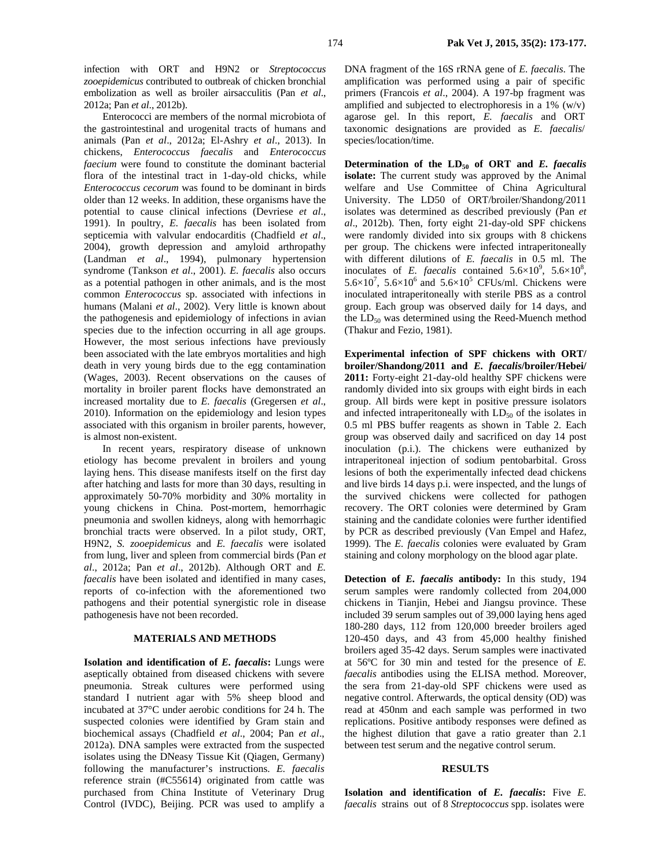infection with ORT and H9N2 or *Streptococcus zooepidemicus* contributed to outbreak of chicken bronchial embolization as well as broiler airsacculitis (Pan *et al*., 2012a; Pan *et al*., 2012b).

Enterococci are members of the normal microbiota of the gastrointestinal and urogenital tracts of humans and animals (Pan *et al*., 2012a; El-Ashry *et al*., 2013). In chickens, *Enterococcus faecalis* and *Enterococcus faecium* were found to constitute the dominant bacterial flora of the intestinal tract in 1-day-old chicks, while *Enterococcus cecorum* was found to be dominant in birds older than 12 weeks. In addition, these organisms have the potential to cause clinical infections (Devriese *et al*., 1991). In poultry, *E. faecalis* has been isolated from septicemia with valvular endocarditis (Chadfield *et al*., 2004), growth depression and amyloid arthropathy (Landman *et al*., 1994), pulmonary hypertension syndrome (Tankson *et al*., 2001). *E. faecalis* also occurs as a potential pathogen in other animals, and is the most common *Enterococcus* sp. associated with infections in humans (Malani *et al*., 2002). Very little is known about the pathogenesis and epidemiology of infections in avian species due to the infection occurring in all age groups. However, the most serious infections have previously been associated with the late embryos mortalities and high death in very young birds due to the egg contamination (Wages, 2003). Recent observations on the causes of mortality in broiler parent flocks have demonstrated an increased mortality due to *E. faecalis* (Gregersen *et al*., 2010). Information on the epidemiology and lesion types associated with this organism in broiler parents, however, is almost non-existent.

In recent years, respiratory disease of unknown etiology has become prevalent in broilers and young laying hens. This disease manifests itself on the first day after hatching and lasts for more than 30 days, resulting in approximately 50-70% morbidity and 30% mortality in young chickens in China. Post-mortem, hemorrhagic pneumonia and swollen kidneys, along with hemorrhagic bronchial tracts were observed. In a pilot study, ORT, H9N2, *S. zooepidemicus* and *E. faecalis* were isolated from lung, liver and spleen from commercial birds (Pan *et al*., 2012a; Pan *et al*., 2012b). Although ORT and *E. faecalis* have been isolated and identified in many cases, reports of co-infection with the aforementioned two pathogens and their potential synergistic role in disease pathogenesis have not been recorded.

#### **MATERIALS AND METHODS**

**Isolation and identification of** *E. faecalis***:** Lungs were aseptically obtained from diseased chickens with severe pneumonia. Streak cultures were performed using standard I nutrient agar with 5% sheep blood and incubated at 37°C under aerobic conditions for 24 h. The suspected colonies were identified by Gram stain and biochemical assays (Chadfield *et al*., 2004; Pan *et al*., 2012a). DNA samples were extracted from the suspected isolates using the DNeasy Tissue Kit (Qiagen, Germany) following the manufacturer's instructions. *E. faecalis* reference strain (#C55614) originated from cattle was purchased from China Institute of Veterinary Drug Control (IVDC), Beijing. PCR was used to amplify a DNA fragment of the 16S rRNA gene of *E. faecalis*. The amplification was performed using a pair of specific primers (Francois *et al*., 2004). A 197-bp fragment was amplified and subjected to electrophoresis in a 1% (w/v) agarose gel. In this report, *E. faecalis* and ORT taxonomic designations are provided as *E. faecalis*/ species/location/time.

Determination of the LD<sub>50</sub> of ORT and *E. faecalis* **isolate:** The current study was approved by the Animal welfare and Use Committee of China Agricultural University. The LD50 of ORT/broiler/Shandong/2011 isolates was determined as described previously (Pan *et al*., 2012b). Then, forty eight 21-day-old SPF chickens were randomly divided into six groups with 8 chickens per group. The chickens were infected intraperitoneally with different dilutions of *E. faecalis* in 0.5 ml. The inoculates of *E. faecalis* contained  $5.6 \times 10^9$ ,  $5.6 \times 10^8$ ,  $5.6 \times 10^7$ ,  $5.6 \times 10^6$  and  $5.6 \times 10^5$  CFUs/ml. Chickens were inoculated intraperitoneally with sterile PBS as a control group. Each group was observed daily for 14 days, and the  $LD_{50}$  was determined using the Reed-Muench method (Thakur and Fezio, 1981).

**Experimental infection of SPF chickens with ORT/ broiler/Shandong/2011 and** *E. faecalis***/broiler/Hebei/ 2011:** Forty-eight 21-day-old healthy SPF chickens were randomly divided into six groups with eight birds in each group. All birds were kept in positive pressure isolators and infected intraperitoneally with  $LD_{50}$  of the isolates in 0.5 ml PBS buffer reagents as shown in Table 2. Each group was observed daily and sacrificed on day 14 post inoculation (p.i.). The chickens were euthanized by intraperitoneal injection of sodium pentobarbital. Gross lesions of both the experimentally infected dead chickens and live birds 14 days p.i. were inspected, and the lungs of the survived chickens were collected for pathogen recovery. The ORT colonies were determined by Gram staining and the candidate colonies were further identified by PCR as described previously (Van Empel and Hafez, 1999). The *E. faecalis* colonies were evaluated by Gram staining and colony morphology on the blood agar plate.

**Detection of** *E. faecalis* **antibody:** In this study, 194 serum samples were randomly collected from 204,000 chickens in Tianjin, Hebei and Jiangsu province. These included 39 serum samples out of 39,000 laying hens aged 180-280 days, 112 from 120,000 breeder broilers aged 120-450 days, and 43 from 45,000 healthy finished broilers aged 35-42 days. Serum samples were inactivated at 56ºC for 30 min and tested for the presence of *E. faecalis* antibodies using the ELISA method. Moreover, the sera from 21-day-old SPF chickens were used as negative control. Afterwards, the optical density (OD) was read at 450nm and each sample was performed in two replications. Positive antibody responses were defined as the highest dilution that gave a ratio greater than 2.1 between test serum and the negative control serum.

#### **RESULTS**

**Isolation and identification of** *E. faecalis***:** Five *E. faecalis* strains out of 8 *Streptococcus* spp. isolates were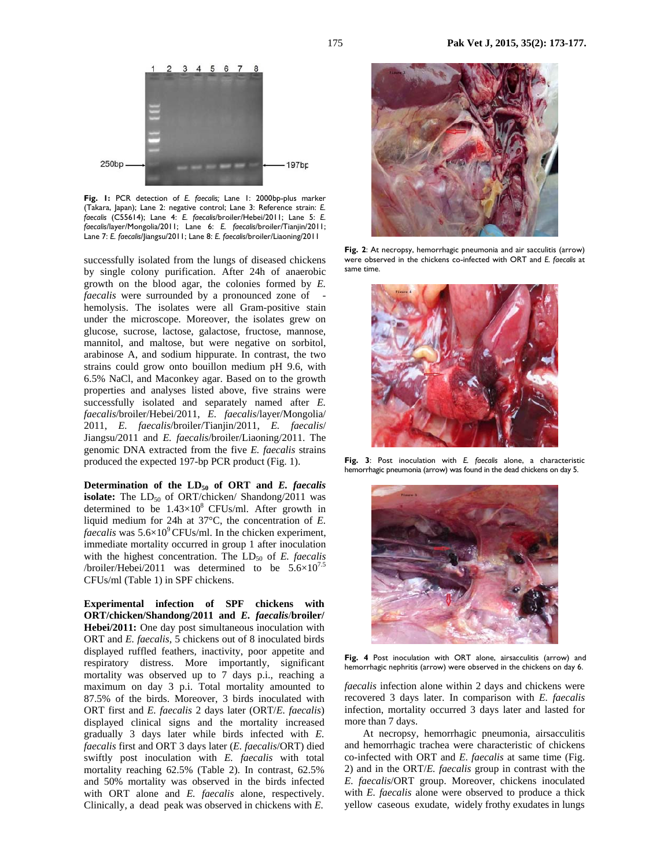

**Fig. 1:** PCR detection of *E. faecalis;* Lane 1: 2000bp-plus marker (Takara, Japan); Lane 2: negative control; Lane 3: Reference strain: *E. faecalis* (C55614); Lane 4: *E. faecalis*/broiler/Hebei/2011; Lane 5: *E. faecalis*/layer/Mongolia/2011; Lane 6: *E. faecalis*/broiler/Tianjin/2011; Lane 7: *E. faecalis*/Jiangsu/2011; Lane 8: *E. faecalis*/broiler/Liaoning/2011

successfully isolated from the lungs of diseased chickens by single colony purification. After 24h of anaerobic growth on the blood agar, the colonies formed by *E. faecalis* were surrounded by a pronounced zone of hemolysis. The isolates were all Gram-positive stain under the microscope. Moreover, the isolates grew on glucose, sucrose, lactose, galactose, fructose, mannose, mannitol, and maltose, but were negative on sorbitol, arabinose A, and sodium hippurate. In contrast, the two strains could grow onto bouillon medium pH 9.6, with 6.5% NaCl, and Maconkey agar. Based on to the growth properties and analyses listed above, five strains were successfully isolated and separately named after *E. faecalis*/broiler/Hebei/2011, *E. faecalis*/layer/Mongolia/ 2011, *E. faecalis*/broiler/Tianjin/2011, *E. faecalis*/ Jiangsu/2011 and *E. faecalis*/broiler/Liaoning/2011. The genomic DNA extracted from the five *E. faecalis* strains produced the expected 197-bp PCR product (Fig. 1).

**Determination of the LD50 of ORT and** *E. faecalis* **isolate:** The  $LD_{50}$  of ORT/chicken/ Shandong/2011 was determined to be  $1.43\times10^{8}$  CFUs/ml. After growth in liquid medium for 24h at 37°C, the concentration of *E. faecalis* was  $5.6 \times 10^9$  CFUs/ml. In the chicken experiment, immediate mortality occurred in group 1 after inoculation with the highest concentration. The LD<sub>50</sub> of *E. faecalis* /broiler/Hebei/2011 was determined to be  $5.6 \times 10^{7.5}$ CFUs/ml (Table 1) in SPF chickens.

**Experimental infection of SPF chickens with ORT/chicken/Shandong/2011 and** *E. faecalis*/**broiler/ Hebei/2011:** One day post simultaneous inoculation with ORT and *E. faecalis*, 5 chickens out of 8 inoculated birds displayed ruffled feathers, inactivity, poor appetite and respiratory distress. More importantly, significant mortality was observed up to 7 days p.i., reaching a maximum on day 3 p.i. Total mortality amounted to 87.5% of the birds. Moreover, 3 birds inoculated with ORT first and *E. faecalis* 2 days later (ORT/*E. faecalis*) displayed clinical signs and the mortality increased gradually 3 days later while birds infected with *E. faecalis* first and ORT 3 days later (*E. faecalis*/ORT) died swiftly post inoculation with *E. faecalis* with total mortality reaching 62.5% (Table 2). In contrast, 62.5% and 50% mortality was observed in the birds infected with ORT alone and *E. faecalis* alone, respectively. Clinically, a dead peak was observed in chickens with *E.* 



**Fig. 2**: At necropsy, hemorrhagic pneumonia and air sacculitis (arrow) were observed in the chickens co-infected with ORT and *E. faecalis* at same time.



**Fig. 3**: Post inoculation with *E. faecalis* alone, a characteristic hemorrhagic pneumonia (arrow) was found in the dead chickens on day 5.



**Fig. 4** Post inoculation with ORT alone, airsacculitis (arrow) and hemorrhagic nephritis (arrow) were observed in the chickens on day 6.

*faecalis* infection alone within 2 days and chickens were recovered 3 days later. In comparison with *E. faecalis* infection, mortality occurred 3 days later and lasted for more than 7 days.

At necropsy, hemorrhagic pneumonia, airsacculitis and hemorrhagic trachea were characteristic of chickens co-infected with ORT and *E*. *faecalis* at same time (Fig. 2) and in the ORT/*E. faecalis* group in contrast with the *E. faecalis*/ORT group. Moreover, chickens inoculated with *E. faecalis* alone were observed to produce a thick yellow caseous exudate, widely frothy exudates in lungs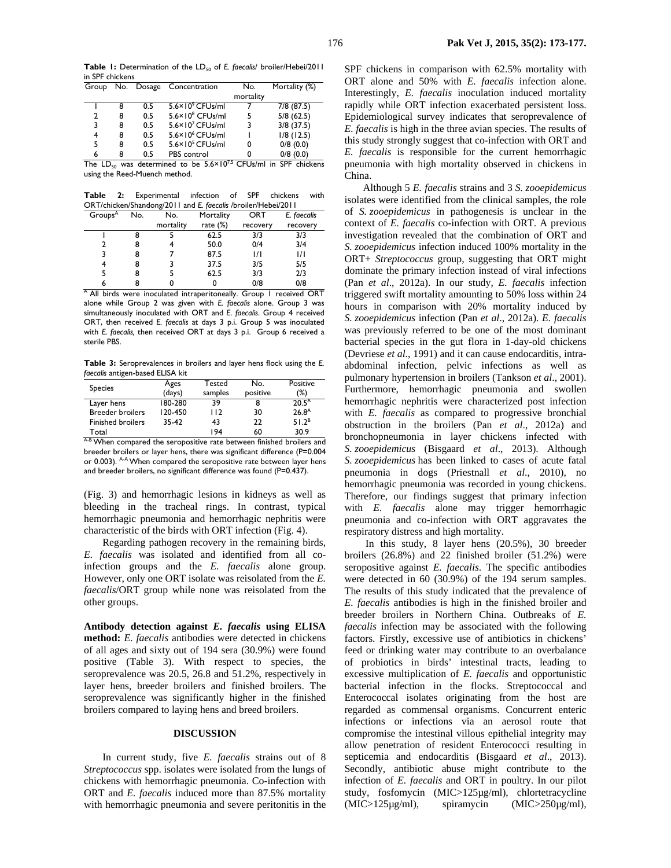Table 1: Determination of the LD<sub>50</sub> of *E. faecalis/* broiler/Hebei/2011 in SPF chickens

|              |   |     | Group No. Dosage Concentration | No.       | Mortality (%) |
|--------------|---|-----|--------------------------------|-----------|---------------|
|              |   |     |                                | mortality |               |
|              | 8 | 0.5 | $5.6 \times 10^{9}$ CFUs/ml    |           | 7/8 (87.5)    |
| $\mathbf{2}$ | 8 | 0.5 | $5.6 \times 10^8$ CFUs/ml      | 5         | 5/8(62.5)     |
| 3            | 8 | 0.5 | $5.6 \times 10^7$ CFUs/ml      | 3         | $3/8$ (37.5)  |
| 4            | 8 | 0.5 | $5.6 \times 10^6$ CFUs/ml      |           | $1/8$ (12.5)  |
|              | 8 | 0.5 | $5.6 \times 10^5$ CFUs/ml      | 0         | 0/8(0.0)      |
| 6            | 8 | 0.5 | <b>PBS</b> control             |           | 0/8(0.0)      |
|              |   |     |                                |           |               |

The LD<sub>50</sub> was determined to be  $5.6 \times 10^{7.5}$  CFUs/ml in SPF chickens using the Reed-Muench method.

**Table 2:** Experimental infection of SPF chickens with ORT/chicken/Shandong/2011 and *E. faecalis /*broiler/Hebei/2011

|                     |     | o         |             |          |               |  |  |
|---------------------|-----|-----------|-------------|----------|---------------|--|--|
| Groups <sup>A</sup> | No. | No.       | Mortality   | ORT      | E. faecalis   |  |  |
|                     |     | mortality | rate $(\%)$ | recovery | recovery      |  |  |
|                     |     |           | 62.5        | 3/3      | 3/3           |  |  |
|                     | 8   |           | 50.0        | 0/4      | 3/4           |  |  |
|                     | 8   |           | 87.5        | 171      | $\frac{1}{1}$ |  |  |
|                     | 8   |           | 37.5        | 3/5      | 5/5           |  |  |
|                     | 8   |           | 62.5        | 3/3      | 2/3           |  |  |
|                     |     |           |             | 0/8      | 0/8           |  |  |

<sup>A</sup> All birds were inoculated intraperitoneally. Group 1 received ORT alone while Group 2 was given with *E. faecalis* alone. Group 3 was simultaneously inoculated with ORT and *E. faecalis*. Group 4 received ORT, then received *E. faecalis* at days 3 p.i. Group 5 was inoculated with *E. faecalis,* then received ORT at days 3 p.i. Group 6 received a sterile PBS.

**Table 3:** Seroprevalences in broilers and layer hens flock using the *E. faecalis* antigen-based ELISA kit

| <b>Species</b>           | Ages    | Tested  | No.      | Positive          |  |
|--------------------------|---------|---------|----------|-------------------|--|
|                          | (days)  | samples | positive | (%)               |  |
| Layer hens               | 180-280 | 39      | 8        | 20.5 <sup>A</sup> |  |
| <b>Breeder broilers</b>  | 120-450 | 112     | 30       | $26.8^{A}$        |  |
| <b>Finished broilers</b> | 35-42   | 43      | 22       | 51.2 <sup>B</sup> |  |
| Total                    |         | 194     | 60       | 30.9              |  |
| $\ddot{\phantom{1}}$     |         |         |          |                   |  |

A-B When compared the seropositive rate between finished broilers and breeder broilers or layer hens, there was significant difference (P=0.004 or 0.003). A-A When compared the seropositive rate between layer hens and breeder broilers, no significant difference was found (P=0.437).

(Fig. 3) and hemorrhagic lesions in kidneys as well as bleeding in the tracheal rings. In contrast, typical hemorrhagic pneumonia and hemorrhagic nephritis were characteristic of the birds with ORT infection (Fig. 4).

Regarding pathogen recovery in the remaining birds, *E. faecalis* was isolated and identified from all coinfection groups and the *E. faecalis* alone group. However, only one ORT isolate was reisolated from the *E. faecalis*/ORT group while none was reisolated from the other groups.

**Antibody detection against** *E. faecalis* **using ELISA method:** *E. faecalis* antibodies were detected in chickens of all ages and sixty out of 194 sera (30.9%) were found positive (Table 3). With respect to species, the seroprevalence was 20.5, 26.8 and 51.2%, respectively in layer hens, breeder broilers and finished broilers. The seroprevalence was significantly higher in the finished broilers compared to laying hens and breed broilers.

### **DISCUSSION**

In current study, five *E. faecalis* strains out of 8 *Streptococcus* spp. isolates were isolated from the lungs of chickens with hemorrhagic pneumonia. Co-infection with ORT and *E. faecalis* induced more than 87.5% mortality with hemorrhagic pneumonia and severe peritonitis in the

SPF chickens in comparison with 62.5% mortality with ORT alone and 50% with *E. faecalis* infection alone. Interestingly, *E. faecalis* inoculation induced mortality rapidly while ORT infection exacerbated persistent loss. Epidemiological survey indicates that seroprevalence of *E. faecalis* is high in the three avian species. The results of this study strongly suggest that co-infection with ORT and *E. faecalis* is responsible for the current hemorrhagic pneumonia with high mortality observed in chickens in China.

Although 5 *E. faecalis* strains and 3 *S. zooepidemicus* isolates were identified from the clinical samples, the role of *S. zooepidemicus* in pathogenesis is unclear in the context of *E. faecalis* co-infection with ORT. A previous investigation revealed that the combination of ORT and *S. zooepidemicus* infection induced 100% mortality in the ORT+ *Streptococcus* group, suggesting that ORT might dominate the primary infection instead of viral infections (Pan *et al*., 2012a). In our study, *E. faecalis* infection triggered swift mortality amounting to 50% loss within 24 hours in comparison with 20% mortality induced by *S. zooepidemicus* infection (Pan *et al*., 2012a). *E. faecalis* was previously referred to be one of the most dominant bacterial species in the gut flora in 1-day-old chickens (Devriese *et al*., 1991) and it can cause endocarditis, intraabdominal infection, pelvic infections as well as pulmonary hypertension in broilers (Tankson *et al*., 2001). Furthermore, hemorrhagic pneumonia and swollen hemorrhagic nephritis were characterized post infection with *E. faecalis* as compared to progressive bronchial obstruction in the broilers (Pan *et al*., 2012a) and bronchopneumonia in layer chickens infected with *S. zooepidemicus* (Bisgaard *et al*., 2013). Although *S. zooepidemicus* has been linked to cases of acute fatal pneumonia in dogs (Priestnall *et al*., 2010), no hemorrhagic pneumonia was recorded in young chickens. Therefore, our findings suggest that primary infection with *E. faecalis* alone may trigger hemorrhagic pneumonia and co-infection with ORT aggravates the respiratory distress and high mortality.

 In this study, 8 layer hens (20.5%), 30 breeder broilers (26.8%) and 22 finished broiler (51.2%) were seropositive against *E. faecalis*. The specific antibodies were detected in 60 (30.9%) of the 194 serum samples. The results of this study indicated that the prevalence of *E. faecalis* antibodies is high in the finished broiler and breeder broilers in Northern China. Outbreaks of *E. faecalis* infection may be associated with the following factors. Firstly, excessive use of antibiotics in chickens' feed or drinking water may contribute to an overbalance of probiotics in birds' intestinal tracts, leading to excessive multiplication of *E. faecalis* and opportunistic bacterial infection in the flocks. Streptococcal and Enterococcal isolates originating from the host are regarded as commensal organisms. Concurrent enteric infections or infections via an aerosol route that compromise the intestinal villous epithelial integrity may allow penetration of resident Enterococci resulting in septicemia and endocarditis (Bisgaard *et al*., 2013). Secondly, antibiotic abuse might contribute to the infection of *E. faecalis* and ORT in poultry. In our pilot study, fosfomycin (MIC>125µg/ml), chlortetracycline (MIC>125µg/ml), spiramycin (MIC>250µg/ml),